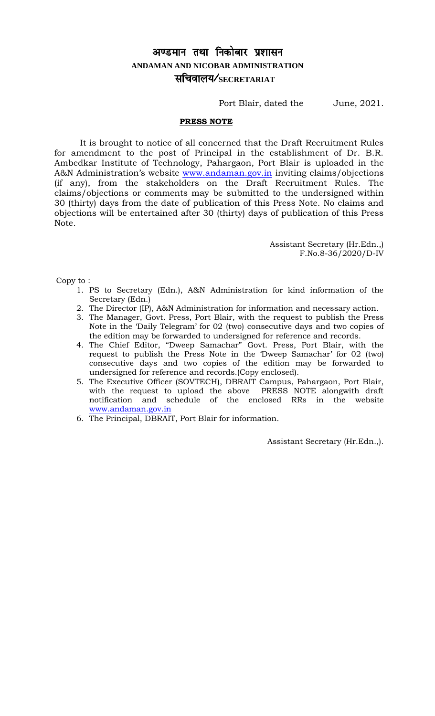# अण्डमान तथा निकोबार प्रशासन **ANDAMAN AND NICOBAR ADMINISTRATION** lfpoky;@**SECRETARIAT**

Port Blair, dated the June, 2021.

#### **PRESS NOTE**

It is brought to notice of all concerned that the Draft Recruitment Rules for amendment to the post of Principal in the establishment of Dr. B.R. Ambedkar Institute of Technology, Pahargaon, Port Blair is uploaded in the A&N Administration's website [www.andaman.gov.in](http://www.andaman.gov.in/) inviting claims/objections (if any), from the stakeholders on the Draft Recruitment Rules. The claims/objections or comments may be submitted to the undersigned within 30 (thirty) days from the date of publication of this Press Note. No claims and objections will be entertained after 30 (thirty) days of publication of this Press Note.

> Assistant Secretary (Hr.Edn.,) F.No.8-36/2020/D-IV

Copy to :

- 1. PS to Secretary (Edn.), A&N Administration for kind information of the Secretary (Edn.)
- 2. The Director (IP), A&N Administration for information and necessary action.
- 3. The Manager, Govt. Press, Port Blair, with the request to publish the Press Note in the 'Daily Telegram' for 02 (two) consecutive days and two copies of the edition may be forwarded to undersigned for reference and records.
- 4. The Chief Editor, "Dweep Samachar" Govt. Press, Port Blair, with the request to publish the Press Note in the 'Dweep Samachar' for 02 (two) consecutive days and two copies of the edition may be forwarded to undersigned for reference and records.(Copy enclosed).
- 5. The Executive Officer (SOVTECH), DBRAIT Campus, Pahargaon, Port Blair, with the request to upload the above PRESS NOTE alongwith draft notification and schedule of the enclosed RRs in the website [www.andaman.gov.in](http://www.andaman.gov.in/)
- 6. The Principal, DBRAIT, Port Blair for information.

Assistant Secretary (Hr.Edn.,).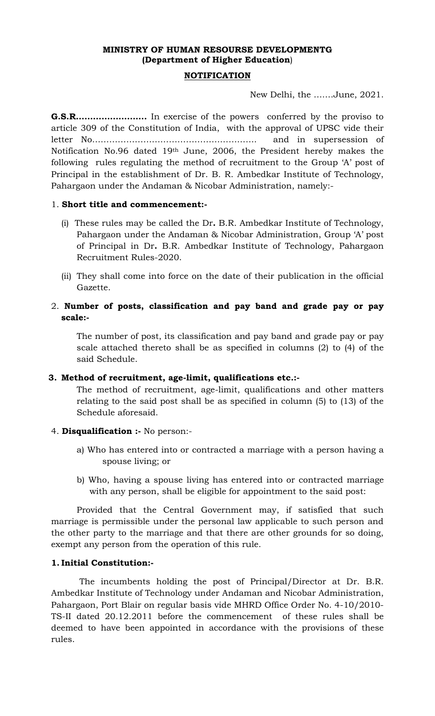## **MINISTRY OF HUMAN RESOURSE DEVELOPMENTG (Department of Higher Education**)

#### **NOTIFICATION**

New Delhi, the …….June, 2021.

**G.S.R…………………….** In exercise of the powers conferred by the proviso to article 309 of the Constitution of India, with the approval of UPSC vide their letter No…………………………………………………. and in supersession of Notification No.96 dated 19th June, 2006, the President hereby makes the following rules regulating the method of recruitment to the Group 'A' post of Principal in the establishment of Dr. B. R. Ambedkar Institute of Technology, Pahargaon under the Andaman & Nicobar Administration, namely:-

#### 1. **Short title and commencement:-**

- (i) These rules may be called the Dr**.** B.R. Ambedkar Institute of Technology, Pahargaon under the Andaman & Nicobar Administration, Group 'A' post of Principal in Dr**.** B.R. Ambedkar Institute of Technology, Pahargaon Recruitment Rules-2020.
- (ii) They shall come into force on the date of their publication in the official Gazette.
- 2. **Number of posts, classification and pay band and grade pay or pay scale:-**

The number of post, its classification and pay band and grade pay or pay scale attached thereto shall be as specified in columns (2) to (4) of the said Schedule.

#### **3. Method of recruitment, age-limit, qualifications etc.:-**

The method of recruitment, age-limit, qualifications and other matters relating to the said post shall be as specified in column (5) to (13) of the Schedule aforesaid.

- 4. **Disqualification :-** No person:
	- a) Who has entered into or contracted a marriage with a person having a spouse living; or
	- b) Who, having a spouse living has entered into or contracted marriage with any person, shall be eligible for appointment to the said post:

Provided that the Central Government may, if satisfied that such marriage is permissible under the personal law applicable to such person and the other party to the marriage and that there are other grounds for so doing, exempt any person from the operation of this rule.

#### **1. Initial Constitution:-**

The incumbents holding the post of Principal/Director at Dr. B.R. Ambedkar Institute of Technology under Andaman and Nicobar Administration, Pahargaon, Port Blair on regular basis vide MHRD Office Order No. 4-10/2010- TS-II dated 20.12.2011 before the commencement of these rules shall be deemed to have been appointed in accordance with the provisions of these rules.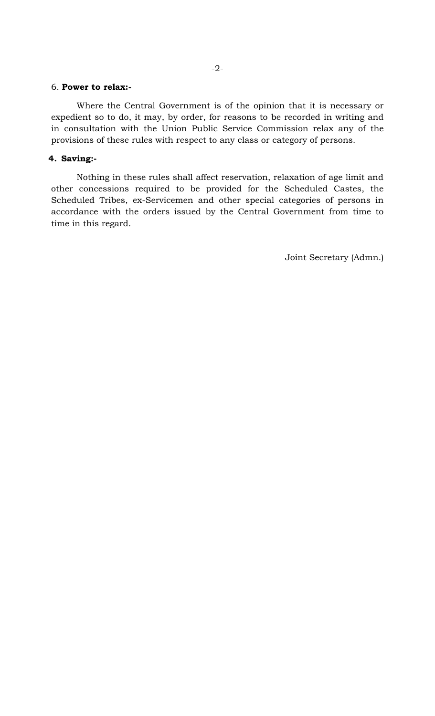#### 6. **Power to relax:-**

Where the Central Government is of the opinion that it is necessary or expedient so to do, it may, by order, for reasons to be recorded in writing and in consultation with the Union Public Service Commission relax any of the provisions of these rules with respect to any class or category of persons.

#### **4. Saving:-**

Nothing in these rules shall affect reservation, relaxation of age limit and other concessions required to be provided for the Scheduled Castes, the Scheduled Tribes, ex-Servicemen and other special categories of persons in accordance with the orders issued by the Central Government from time to time in this regard.

Joint Secretary (Admn.)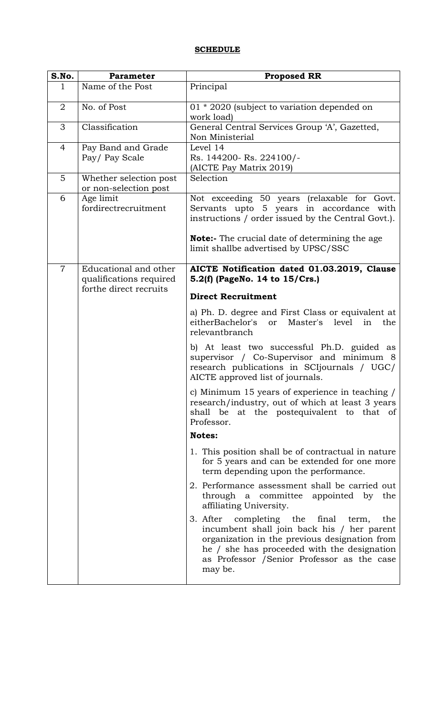#### **SCHEDULE**

| S.No.          | <b>Parameter</b>                                 | <b>Proposed RR</b>                                                                                                                                                                                                                                    |
|----------------|--------------------------------------------------|-------------------------------------------------------------------------------------------------------------------------------------------------------------------------------------------------------------------------------------------------------|
| $\mathbf{1}$   | Name of the Post                                 | Principal                                                                                                                                                                                                                                             |
| $\overline{2}$ | No. of Post                                      | 01 * 2020 (subject to variation depended on<br>work load)                                                                                                                                                                                             |
| 3              | Classification                                   | General Central Services Group 'A', Gazetted,<br>Non Ministerial                                                                                                                                                                                      |
| 4              | Pay Band and Grade<br>Pay/Pay Scale              | Level 14<br>Rs. 144200- Rs. 224100/-<br>(AICTE Pay Matrix 2019)                                                                                                                                                                                       |
| 5              | Whether selection post<br>or non-selection post  | Selection                                                                                                                                                                                                                                             |
| 6              | Age limit<br>fordirectrecruitment                | Not exceeding 50 years (relaxable for Govt.<br>Servants upto 5 years in accordance with<br>instructions / order issued by the Central Govt.).<br>Note:- The crucial date of determining the age<br>limit shallbe advertised by UPSC/SSC               |
| $\overline{7}$ | Educational and other<br>qualifications required | AICTE Notification dated 01.03.2019, Clause<br>5.2(f) (PageNo. 14 to 15/Crs.)                                                                                                                                                                         |
|                | forthe direct recruits                           | <b>Direct Recruitment</b>                                                                                                                                                                                                                             |
|                |                                                  | a) Ph. D. degree and First Class or equivalent at<br>eitherBachelor's<br><sub>or</sub><br>Master's level<br>in<br>the<br>relevantbranch                                                                                                               |
|                |                                                  | b) At least two successful Ph.D. guided as<br>supervisor / Co-Supervisor and minimum 8<br>research publications in SCI journals / UGC/<br>AICTE approved list of journals.                                                                            |
|                |                                                  | c) Minimum 15 years of experience in teaching /<br>research/industry, out of which at least 3 years<br>shall be at the postequivalent to that of<br>Professor.                                                                                        |
|                |                                                  | <b>Notes:</b>                                                                                                                                                                                                                                         |
|                |                                                  | 1. This position shall be of contractual in nature<br>for 5 years and can be extended for one more<br>term depending upon the performance.                                                                                                            |
|                |                                                  | 2. Performance assessment shall be carried out<br>through a committee appointed by the<br>affiliating University.                                                                                                                                     |
|                |                                                  | 3. After completing the final<br>the<br>term,<br>incumbent shall join back his / her parent<br>organization in the previous designation from<br>he / she has proceeded with the designation<br>as Professor / Senior Professor as the case<br>may be. |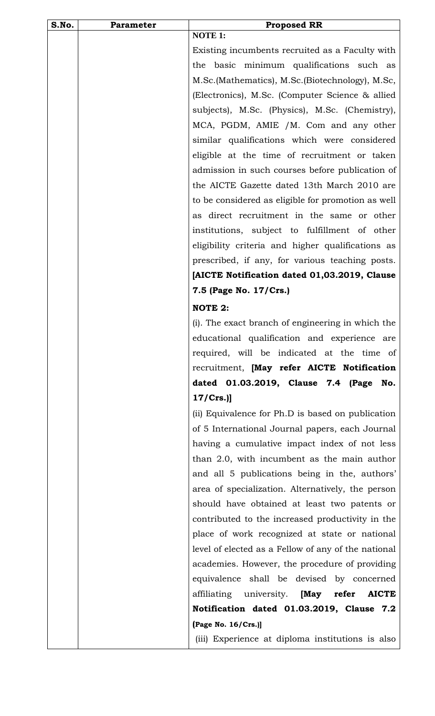| S.No. | Parameter | <b>Proposed RR</b>                                  |
|-------|-----------|-----------------------------------------------------|
|       |           | <b>NOTE 1:</b>                                      |
|       |           | Existing incumbents recruited as a Faculty with     |
|       |           | basic minimum qualifications such as<br>the         |
|       |           | M.Sc. (Mathematics), M.Sc. (Biotechnology), M.Sc,   |
|       |           | (Electronics), M.Sc. (Computer Science & allied     |
|       |           | subjects), M.Sc. (Physics), M.Sc. (Chemistry),      |
|       |           | MCA, PGDM, AMIE /M. Com and any other               |
|       |           | similar qualifications which were considered        |
|       |           | eligible at the time of recruitment or taken        |
|       |           | admission in such courses before publication of     |
|       |           | the AICTE Gazette dated 13th March 2010 are         |
|       |           | to be considered as eligible for promotion as well  |
|       |           | as direct recruitment in the same or other          |
|       |           | institutions, subject to fulfillment of other       |
|       |           | eligibility criteria and higher qualifications as   |
|       |           | prescribed, if any, for various teaching posts.     |
|       |           | [AICTE Notification dated 01,03.2019, Clause        |
|       |           | 7.5 (Page No. 17/Crs.)                              |
|       |           | <b>NOTE 2:</b>                                      |
|       |           | (i). The exact branch of engineering in which the   |
|       |           | educational qualification and experience are        |
|       |           | required, will be indicated at the time of          |
|       |           | recruitment, [May refer AICTE Notification          |
|       |           | dated 01.03.2019, Clause 7.4 (Page<br>No.           |
|       |           | 17/Crs.                                             |
|       |           | (ii) Equivalence for Ph.D is based on publication   |
|       |           | of 5 International Journal papers, each Journal     |
|       |           | having a cumulative impact index of not less        |
|       |           | than 2.0, with incumbent as the main author         |
|       |           | and all 5 publications being in the, authors'       |
|       |           | area of specialization. Alternatively, the person   |
|       |           | should have obtained at least two patents or        |
|       |           | contributed to the increased productivity in the    |
|       |           | place of work recognized at state or national       |
|       |           | level of elected as a Fellow of any of the national |
|       |           | academies. However, the procedure of providing      |
|       |           | equivalence shall be devised by concerned           |
|       |           | affiliating university. [May refer AICTE            |
|       |           | Notification dated 01.03.2019, Clause 7.2           |
|       |           | (Page No. 16/Crs.)]                                 |
|       |           | (iii) Experience at diploma institutions is also    |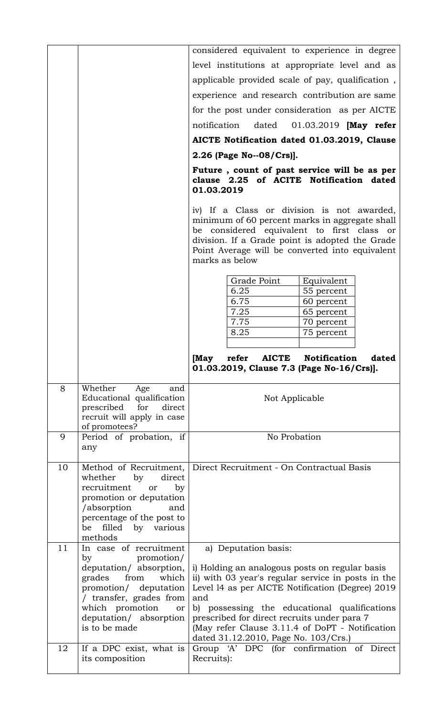|    |                                                                                                                                                                                             | considered equivalent to experience in degree                                                                                                                                                                                                                                                                                                             |
|----|---------------------------------------------------------------------------------------------------------------------------------------------------------------------------------------------|-----------------------------------------------------------------------------------------------------------------------------------------------------------------------------------------------------------------------------------------------------------------------------------------------------------------------------------------------------------|
|    |                                                                                                                                                                                             | level institutions at appropriate level and as                                                                                                                                                                                                                                                                                                            |
|    |                                                                                                                                                                                             | applicable provided scale of pay, qualification,                                                                                                                                                                                                                                                                                                          |
|    |                                                                                                                                                                                             | experience and research contribution are same                                                                                                                                                                                                                                                                                                             |
|    |                                                                                                                                                                                             | for the post under consideration as per AICTE                                                                                                                                                                                                                                                                                                             |
|    |                                                                                                                                                                                             | notification<br>dated 01.03.2019 [May refer                                                                                                                                                                                                                                                                                                               |
|    |                                                                                                                                                                                             | AICTE Notification dated 01.03.2019, Clause                                                                                                                                                                                                                                                                                                               |
|    |                                                                                                                                                                                             | 2.26 (Page No--08/Crs)].                                                                                                                                                                                                                                                                                                                                  |
|    |                                                                                                                                                                                             | Future, count of past service will be as per<br>clause 2.25 of ACITE Notification dated<br>01.03.2019                                                                                                                                                                                                                                                     |
|    |                                                                                                                                                                                             | iv) If a Class or division is not awarded,<br>minimum of 60 percent marks in aggregate shall<br>be considered equivalent to first class or<br>division. If a Grade point is adopted the Grade<br>Point Average will be converted into equivalent<br>marks as below                                                                                        |
|    |                                                                                                                                                                                             | Grade Point<br>Equivalent<br>6.25<br>55 percent<br>6.75<br>60 percent<br>7.25<br>65 percent                                                                                                                                                                                                                                                               |
|    |                                                                                                                                                                                             | 7.75<br>70 percent                                                                                                                                                                                                                                                                                                                                        |
|    |                                                                                                                                                                                             | 8.25<br>75 percent                                                                                                                                                                                                                                                                                                                                        |
|    |                                                                                                                                                                                             | [May<br><b>AICTE</b><br><b>Notification</b><br>refer<br>dated<br>01.03.2019, Clause 7.3 (Page No-16/Crs)].                                                                                                                                                                                                                                                |
| 8  | Whether<br>Age<br>and<br>Educational qualification<br>prescribed for<br>direct<br>recruit will apply in case<br>of promotees?                                                               | Not Applicable                                                                                                                                                                                                                                                                                                                                            |
| 9  | Period of probation, if<br>any                                                                                                                                                              | No Probation                                                                                                                                                                                                                                                                                                                                              |
| 10 | whether<br>by<br>direct<br>recruitment<br>or<br>by<br>promotion or deputation<br>/absorption<br>and<br>percentage of the post to<br>be filled by various<br>methods                         | Method of Recruitment, Direct Recruitment - On Contractual Basis                                                                                                                                                                                                                                                                                          |
| 11 | In case of recruitment                                                                                                                                                                      | a) Deputation basis:                                                                                                                                                                                                                                                                                                                                      |
|    | promotion/<br>by<br>deputation/ absorption,<br>grades from<br>which<br>promotion/ deputation<br>/ transfer, grades from<br>which promotion<br>or<br>deputation/ absorption<br>is to be made | i) Holding an analogous posts on regular basis<br>ii) with 03 year's regular service in posts in the<br>Level 14 as per AICTE Notification (Degree) 2019<br>and<br>b) possessing the educational qualifications<br>prescribed for direct recruits under para 7<br>(May refer Clause 3.11.4 of DoPT - Notification<br>dated 31.12.2010, Page No. 103/Crs.) |
| 12 | If a DPC exist, what is<br>its composition                                                                                                                                                  | Group 'A' DPC (for confirmation of Direct<br>Recruits):                                                                                                                                                                                                                                                                                                   |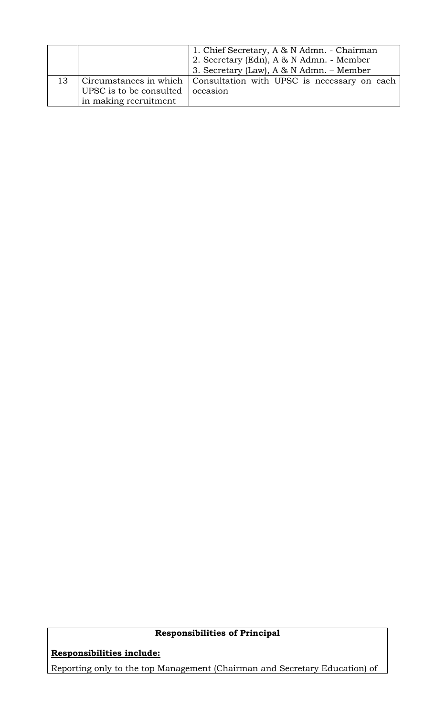|    |                                          | 1. Chief Secretary, A & N Admn. - Chairman                           |
|----|------------------------------------------|----------------------------------------------------------------------|
|    |                                          | 2. Secretary (Edn), A & N Admn. - Member                             |
|    |                                          | 3. Secretary (Law), A & N Admn. - Member                             |
| 13 |                                          | Circumstances in which   Consultation with UPSC is necessary on each |
|    | UPSC is to be consulted $\vert$ occasion |                                                                      |
|    | in making recruitment                    |                                                                      |

# **Responsibilities of Principal**

**Responsibilities include:**

Reporting only to the top Management (Chairman and Secretary Education) of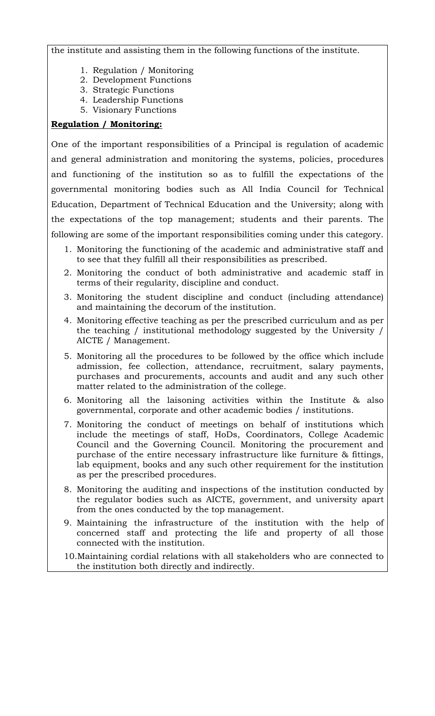the institute and assisting them in the following functions of the institute.

- 1. Regulation / Monitoring
- 2. Development Functions
- 3. Strategic Functions
- 4. Leadership Functions
- 5. Visionary Functions

#### **Regulation / Monitoring:**

One of the important responsibilities of a Principal is regulation of academic and general administration and monitoring the systems, policies, procedures and functioning of the institution so as to fulfill the expectations of the governmental monitoring bodies such as All India Council for Technical Education, Department of Technical Education and the University; along with the expectations of the top management; students and their parents. The following are some of the important responsibilities coming under this category.

- 1. Monitoring the functioning of the academic and administrative staff and to see that they fulfill all their responsibilities as prescribed.
- 2. Monitoring the conduct of both administrative and academic staff in terms of their regularity, discipline and conduct.
- 3. Monitoring the student discipline and conduct (including attendance) and maintaining the decorum of the institution.
- 4. Monitoring effective teaching as per the prescribed curriculum and as per the teaching / institutional methodology suggested by the University / AICTE / Management.
- 5. Monitoring all the procedures to be followed by the office which include admission, fee collection, attendance, recruitment, salary payments, purchases and procurements, accounts and audit and any such other matter related to the administration of the college.
- 6. Monitoring all the laisoning activities within the Institute & also governmental, corporate and other academic bodies / institutions.
- 7. Monitoring the conduct of meetings on behalf of institutions which include the meetings of staff, HoDs, Coordinators, College Academic Council and the Governing Council. Monitoring the procurement and purchase of the entire necessary infrastructure like furniture & fittings, lab equipment, books and any such other requirement for the institution as per the prescribed procedures.
- 8. Monitoring the auditing and inspections of the institution conducted by the regulator bodies such as AICTE, government, and university apart from the ones conducted by the top management.
- 9. Maintaining the infrastructure of the institution with the help of concerned staff and protecting the life and property of all those connected with the institution.
- 10.Maintaining cordial relations with all stakeholders who are connected to the institution both directly and indirectly.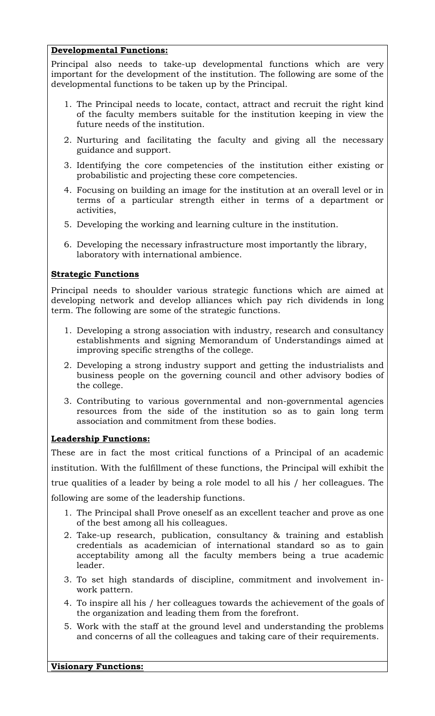### **Developmental Functions:**

Principal also needs to take-up developmental functions which are very important for the development of the institution. The following are some of the developmental functions to be taken up by the Principal.

- 1. The Principal needs to locate, contact, attract and recruit the right kind of the faculty members suitable for the institution keeping in view the future needs of the institution.
- 2. Nurturing and facilitating the faculty and giving all the necessary guidance and support.
- 3. Identifying the core competencies of the institution either existing or probabilistic and projecting these core competencies.
- 4. Focusing on building an image for the institution at an overall level or in terms of a particular strength either in terms of a department or activities,
- 5. Developing the working and learning culture in the institution.
- 6. Developing the necessary infrastructure most importantly the library, laboratory with international ambience.

## **Strategic Functions**

Principal needs to shoulder various strategic functions which are aimed at developing network and develop alliances which pay rich dividends in long term. The following are some of the strategic functions.

- 1. Developing a strong association with industry, research and consultancy establishments and signing Memorandum of Understandings aimed at improving specific strengths of the college.
- 2. Developing a strong industry support and getting the industrialists and business people on the governing council and other advisory bodies of the college.
- 3. Contributing to various governmental and non-governmental agencies resources from the side of the institution so as to gain long term association and commitment from these bodies.

## **Leadership Functions:**

These are in fact the most critical functions of a Principal of an academic institution. With the fulfillment of these functions, the Principal will exhibit the true qualities of a leader by being a role model to all his / her colleagues. The following are some of the leadership functions.

- 1. The Principal shall Prove oneself as an excellent teacher and prove as one of the best among all his colleagues.
- 2. Take-up research, publication, consultancy & training and establish credentials as academician of international standard so as to gain acceptability among all the faculty members being a true academic leader.
- 3. To set high standards of discipline, commitment and involvement inwork pattern.
- 4. To inspire all his / her colleagues towards the achievement of the goals of the organization and leading them from the forefront.
- 5. Work with the staff at the ground level and understanding the problems and concerns of all the colleagues and taking care of their requirements.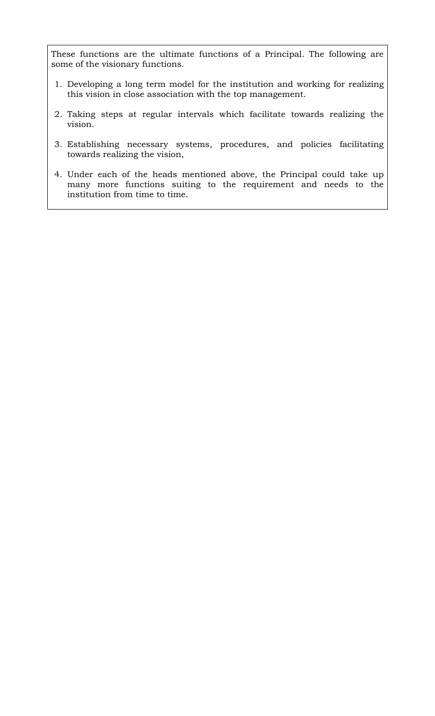These functions are the ultimate functions of a Principal. The following are some of the visionary functions.

- 1. Developing a long term model for the institution and working for realizing this vision in close association with the top management.
- 2. Taking steps at regular intervals which facilitate towards realizing the vision.
- 3. Establishing necessary systems, procedures, and policies facilitating towards realizing the vision,
- 4. Under each of the heads mentioned above, the Principal could take up many more functions suiting to the requirement and needs to the institution from time to time.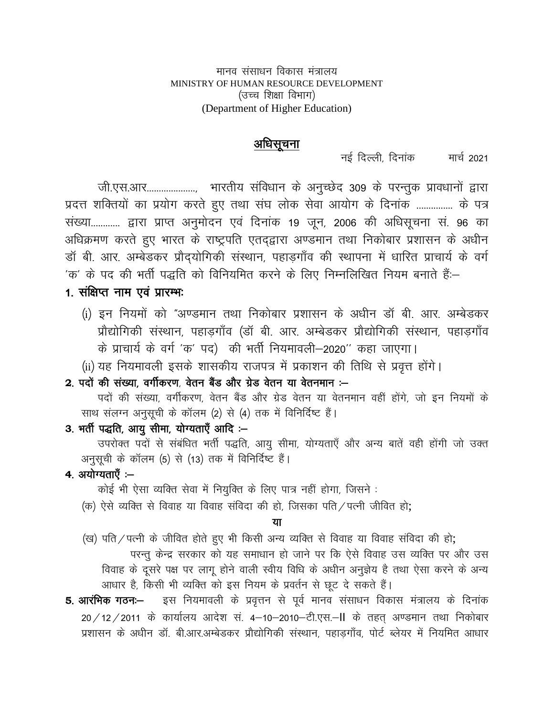मानव संसाधन विकास मंत्रालय MINISTRY OF HUMAN RESOURCE DEVELOPMENT (उच्च शिक्षा विभाग) (Department of Higher Education)

## अधिसूचना

नई दिल्ली दिनांक मार्च 2021

जी.एस.आर...................... भारतीय संविधान के अनुच्छेद 309 के परन्तुक प्रावधानों द्वारा प्रदत्त शक्तियों का प्रयोग करते हुए तथा संघ लोक सेवा आयोग के दिनांक ............... के पत्र संख्या............ द्वारा प्राप्त अनुमोदन एवं दिनांक 19 जून, 2006 की अधिसूचना सं. 96 का अधिक्रमण करते हुए भारत के राष्ट्रपति एतद्द्वारा अण्डमान तथा निकोबार प्रशासन के अधीन डॉ बी. आर. अम्बेडकर प्रौदयोगिकी संस्थान, पहाड़गाँव की स्थापना में धारित प्राचार्य के वर्ग 'क' के पद की भर्ती पद्धति को विनियमित करने के लिए निम्नलिखित नियम बनाते हैं:–

## 1. संक्षिप्त नाम एवं प्रारम्भः

- (i) इन नियमों को "अण्डमान तथा निकोबार प्रशासन के अधीन डॉ बी. आर. अम्बेडकर प्रौद्योगिकी संस्थान, पहाड़गाँव (डॉ बी. आर. अम्बेडकर प्रौद्योगिकी संस्थान, पहाड़गाँव के प्राचार्य के वर्ग 'क' पद) की भर्ती नियमावली–2020'' कहा जाएगा।
- (ii) यह नियमावली इसके शासकीय राजपत्र में प्रकाशन की तिथि से प्रवृत्त होंगे।

2. पदों की संख्या. वर्गीकरण. वेतन बैंड और ग्रेड वेतन या वेतनमान :-

पदों की संख्या, वर्गीकरण, वेतन बैंड और ग्रेड वेतन या वेतनमान वहीं होंगे, जो इन नियमों के साथ संलग्न अनुसूची के कॉलम (2) से (4) तक में विनिर्दिष्ट हैं।

#### 3. भर्ती पद्धति, आयु सीमा, योग्यताएँ आदि :-

उपरोक्त पदों से संबंधित भर्ती पद्धति, आयु सीमा, योग्यताएँ और अन्य बातें वही होंगी जो उक्त अनुसूची के कॉलम (5) से (13) तक में विनिर्दिष्ट हैं।

4. अयोग्यताएँ :-

कोई भी ऐसा व्यक्ति सेवा में नियुक्ति के लिए पात्र नहीं होगा, जिसने :

(क) ऐसे व्यक्ति से विवाह या विवाह संविदा की हो, जिसका पति / पत्नी जीवित हो;

#### या

(ख) पति / पत्नी के जीवित होते हुए भी किसी अन्य व्यक्ति से विवाह या विवाह संविदा की हो;

परन्तू केन्द्र सरकार को यह समाधान हो जाने पर कि ऐसे विवाह उस व्यक्ति पर और उस विवाह के दूसरे पक्ष पर लागू होने वाली स्वीय विधि के अधीन अनुज्ञेय है तथा ऐसा करने के अन्य आधार है, किसी भी व्यक्ति को इस नियम के प्रवर्तन से छूट दे सकते हैं।

इस नियमावली के प्रवृत्तन से पूर्व मानव संसाधन विकास मंत्रालय के दिनांक 5. आरंभिक गठनः— 20 / 12 / 2011 के कार्यालय आदेश सं. 4–10–2010–टी.एस.–II के तहत अण्डमान तथा निकोबार प्रशासन के अधीन डॉ. बी.आर.अम्बेडकर प्रौद्योगिकी संस्थान, पहाडगाँव, पोर्ट ब्लेयर में नियमित आधार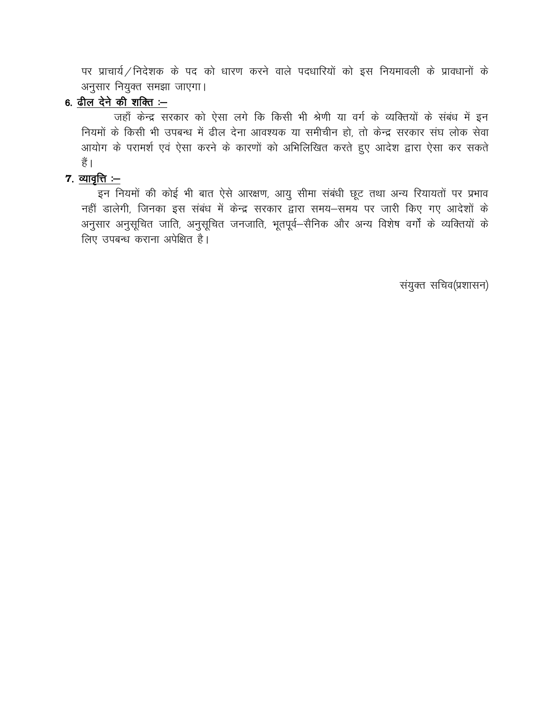पर प्राचार्य / निदेशक के पद को धारण करने वाले पदधारियों को इस नियमावली के प्रावधानों के अनुसार नियुक्त समझा जाएगा।

## 6. ढील देने की शक्ति $-$

जहाँ केन्द्र सरकार को ऐसा लगे कि किसी भी श्रेणी या वर्ग के व्यक्तियों के संबंध में इन नियमों के किसी भी उपबन्ध में ढील देना आवश्यक या समीचीन हो, तो केन्द्र सरकार संघ लोक सेवा आयोग के परामर्श एवं ऐसा करने के कारणों को अभिलिखित करते हुए आदेश द्वारा ऐसा कर सकते हैं ।

### $7.$  व्यावृत्ति $\cdot$  –

इन नियमों की कोई भी बात ऐसे आरक्षण, आयु सीमा संबंधी छूट तथा अन्य रियायतों पर प्रभाव नहीं डालेगी, जिनका इस संबंध में केन्द्र सरकार द्वारा समय-समय पर जारी किए गए आदेशों के अनुसार अनुसूचित जाति, अनुसूचित जनजाति, भूतपूर्व–सैनिक और अन्य विशेष वर्गों के व्यक्तियों के लिए उपबन्ध कराना अपेक्षित है।

संयुक्त सचिव(प्रशासन)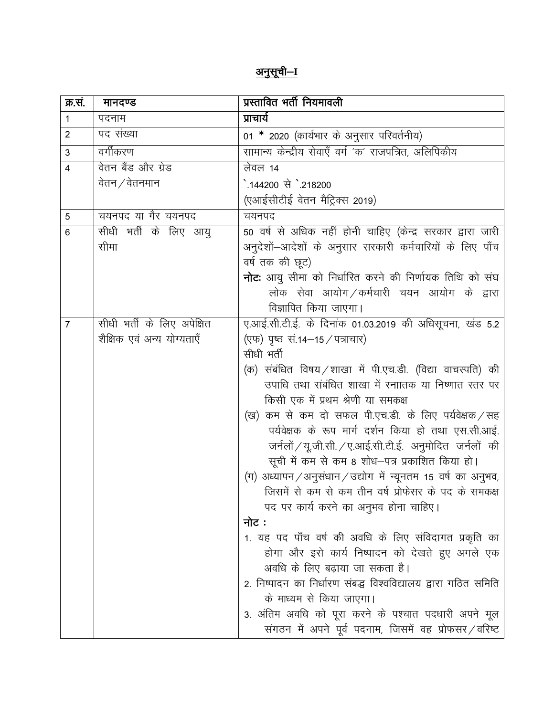# <u>अनुसूची–ा</u>

| क्र.स.         | मानदण्ड                    | प्रस्तावित भर्ती नियमावली                                                        |
|----------------|----------------------------|----------------------------------------------------------------------------------|
| 1              | पदनाम                      | प्राचार्य                                                                        |
| 2              | पद संख्या                  | 01 * 2020 (कार्यभार के अनुसार परिवर्तनीय)                                        |
| 3              | वर्गीकरण                   | सामान्य केन्द्रीय सेवाएँ वर्ग 'क' राजपत्रित, अलिपिकीय                            |
| 4              | वेतन बैंड और ग्रेड         | लेवल 14                                                                          |
|                | वेतन $\angle$ वेतनमान      | े.144200 से `.218200                                                             |
|                |                            | (एआईसीटीई वेतन मैट्रिक्स 2019)                                                   |
| 5              | चयनपद या गैर चयनपद         | चयनपद                                                                            |
| 6              | सीधी भर्ती के लिए आयु      | 50 वर्ष से अधिक नहीं होनी चाहिए (केन्द्र सरकार द्वारा जारी                       |
|                | सीमा                       | अनुदेशों-आदेशों के अनुसार सरकारी कर्मचारियों के लिए पाँच                         |
|                |                            | वर्ष तक की छूट)                                                                  |
|                |                            | <b>नोटः</b> आयु सीमा को निर्धारित करने की निर्णायक तिथि को संघ                   |
|                |                            | लोक सेवा आयोग ⁄ कर्मचारी चयन आयोग के द्वारा                                      |
|                |                            | विज्ञापित किया जाएगा।                                                            |
| $\overline{7}$ | सीधी भर्ती के लिए अपेक्षित | ए.आई.सी.टी.ई. के दिनांक 01.03.2019 की अधिसूचना, खंड 5.2                          |
|                | शैक्षिक एवं अन्य योग्यताएँ | (एफ) पृष्ठ सं.14-15 / पत्राचार)                                                  |
|                |                            | सीधी भर्ती                                                                       |
|                |                            | (क) संबंधित विषय ⁄ शाखा में पी.एच.डी. (विद्या वाचस्पति) की                       |
|                |                            | उपाधि तथा संबंधित शाखा में स्नाातक या निष्णात स्तर पर                            |
|                |                            | किसी एक में प्रथम श्रेणी या समकक्ष                                               |
|                |                            | (ख) कम से कम दो सफल पी.एच.डी. के लिए पर्यवेक्षक / सह                             |
|                |                            | पर्यवेक्षक के रूप मार्ग दर्शन किया हो तथा एस.सी.आई.                              |
|                |                            | जर्नलों / यू.जी.सी. / ए.आई.सी.टी.ई. अनुमोदित जर्नलों की                          |
|                |                            | सूची में कम से कम 8 शोध–पत्र प्रकाशित किया हो।                                   |
|                |                            | अध्यापन/अनुसंधान/उद्योग में न्यूनतम 15 वर्ष का अनुभव,<br>$(\pi)$                 |
|                |                            | जिसमें से कम से कम तीन वर्ष प्रोफेसर के पद के समकक्ष                             |
|                |                            | पद पर कार्य करने का अनुभव होना चाहिए।                                            |
|                |                            | नोट :                                                                            |
|                |                            | 1. यह पद पाँच वर्ष की अवधि के लिए संविदागत प्रकृति का                            |
|                |                            | होगा और इसे कार्य निष्पादन को देखते हुए अगले एक<br>अवधि के लिए बढाया जा सकता है। |
|                |                            | 2. निष्पादन का निर्धारण संबद्ध विश्वविद्यालय द्वारा गठित समिति                   |
|                |                            | के माध्यम से किया जाएगा।                                                         |
|                |                            | 3. अंतिम अवधि को पूरा करने के पश्चात पदधारी अपने मूल                             |
|                |                            | संगठन में अपने पूर्व पदनाम, जिसमें वह प्रोफसर/वरिष्ट                             |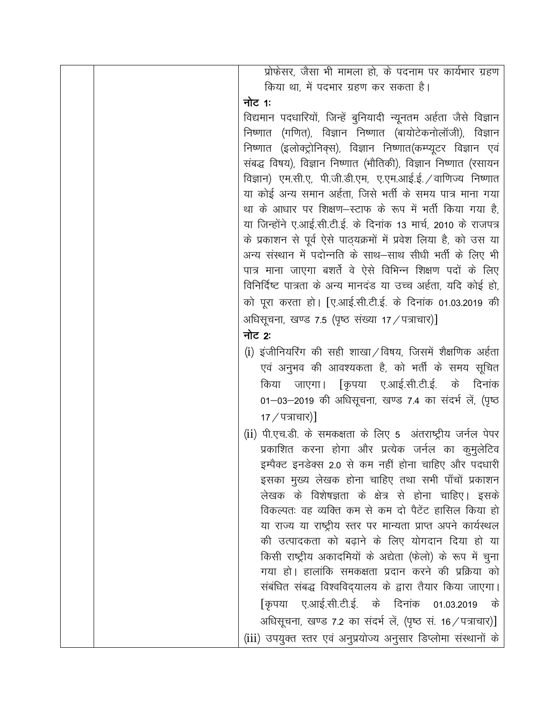| प्रोफेसर, जैसा भी मामला हो, के पदनाम पर कार्यभार ग्रहण           |
|------------------------------------------------------------------|
| किया था, में पदभार ग्रहण कर सकता है।                             |
| नोट 1:                                                           |
| विद्यमान पदधारियों, जिन्हें बुनियादी न्यूनतम अर्हता जैसे विज्ञान |
| निष्णात (गणित), विज्ञान निष्णात (बायोटेकनोलॉजी), विज्ञान         |
| निष्णात (इलोक्ट्रोनिक्स), विज्ञान निष्णात(कम्प्यूटर विज्ञान एवं  |
| संबद्ध विषय), विज्ञान निष्णात (भौतिकी), विज्ञान निष्णात (रसायन   |
| विज्ञान) एम.सी.ए, पी.जी.डी.एम, ए.एम.आई.ई. /वाणिज्य निष्णात       |
| या कोई अन्य समान अर्हता, जिसे भर्ती के समय पात्र माना गया        |
| था के आधार पर शिक्षण–स्टाफ के रूप में भर्ती किया गया है,         |
| या जिन्होंने ए.आई.सी.टी.ई. के दिनांक 13 मार्च, 2010 के राजपत्र   |
| के प्रकाशन से पूर्व ऐसे पाठ्यक्रमों में प्रवेश लिया है, को उस या |
| अन्य संस्थान में पदोन्नति के साथ–साथ सीधी भर्ती के लिए भी        |
| पात्र माना जाएगा बशर्ते वे ऐसे विभिन्न शिक्षण पदों के लिए        |
| विनिर्दिष्ट पात्रता के अन्य मानदंड या उच्च अर्हता, यदि कोई हो,   |
| को पूरा करता हो। [ए.आई.सी.टी.ई. के दिनांक 01.03.2019 की          |
| अधिसूचना, खण्ड 7.5 (पृष्ठ संख्या 17 / पत्राचार)]                 |
| नोट 2:                                                           |
| (i) इंजीनियरिंग की सही शाखा / विषय, जिसमें शैक्षणिक अर्हता       |
| एवं अनुभव की आवश्यकता है, को भर्ती के समय सूचित                  |
| किया जाएगा। [कृपया ए.आई.सी.टी.ई. के दिनांक                       |
| 01–03–2019 की अधिसूचना, खण्ड 7.4 का संदर्भ लें, (पृष्ठ           |
| 17 / पत्राचार)                                                   |
| (ii) पी.एच.डी. के समकक्षता के लिए 5 अंतराष्ट्रीय जर्नल पेपर      |
| प्रकाशित करना होगा और प्रत्येक जर्नल का कुमुलेटिव                |
| इम्पैक्ट इनडेक्स 2.0 से कम नहीं होना चाहिए और पदधारी             |
| इसका मुख्य लेखक होना चाहिए तथा सभी पाँचों प्रकाशन                |
| लेखक के विशेषज्ञता के क्षेत्र से होना चाहिए। इसके                |
| विकल्पतः वह व्यक्ति कम से कम दो पैटेंट हासिल किया हो             |
| या राज्य या राष्ट्रीय स्तर पर मान्यता प्राप्त अपने कार्यस्थल     |
| की उत्पादकता को बढ़ाने के लिए योगदान दिया हो या                  |
| किसी राष्ट्रीय अकादमियों के अद्येता (फेलो) के रूप में चुना       |
| गया हो। हालांकि समकक्षता प्रदान करने की प्रक्रिया को             |
| संबंधित संबद्ध विश्वविद्यालय के द्वारा तैयार किया जाएगा।         |
| ए.आई.सी.टी.ई. के दिनांक 01.03.2019<br>[कृपया<br>के               |
| अधिसूचना, खण्ड 7.2 का संदर्भ लें, (पृष्ठ सं. 16 / पत्राचार)]     |
| (iii) उपयुक्त स्तर एवं अनुप्रयोज्य अनुसार डिप्लोमा संस्थानों के  |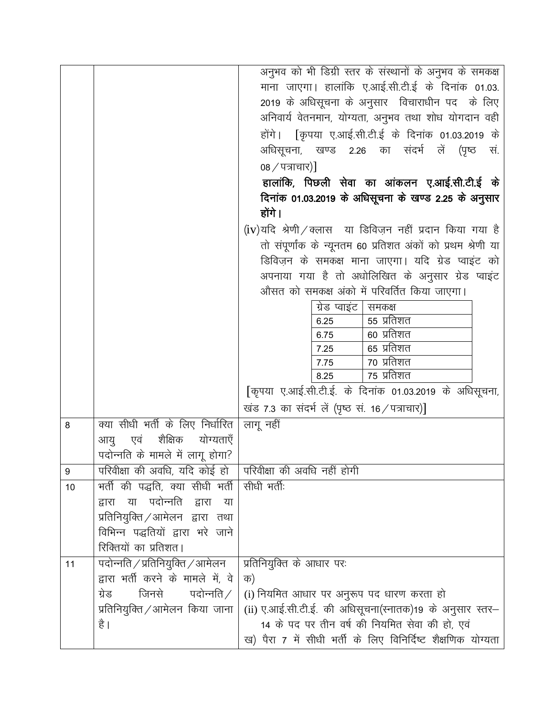|    |                                                             | अनुभव को भी डिग्री स्तर के संस्थानों के अनुभव के समकक्ष       |
|----|-------------------------------------------------------------|---------------------------------------------------------------|
|    |                                                             | माना जाएगा। हालांकि ए.आई.सी.टी.ई के दिनांक 01.03.             |
|    |                                                             | 2019 के अधिसूचना के अनुसार विचाराधीन पद के लिए                |
|    |                                                             | अनिवार्य वेतनमान, योग्यता, अनुभव तथा शोध योगदान वही           |
|    |                                                             | होंगे। [कृपया ए.आई.सी.टी.ई के दिनांक 01.03.2019 के            |
|    |                                                             | अधिसूचना, खण्ड 2.26 का संदर्भ लें (पृष्ठ सं.                  |
|    |                                                             | 08 / पत्राचार)                                                |
|    |                                                             | हालांकि, पिछली सेवा का आंकलन ए.आई.सी.टी.ई के                  |
|    |                                                             | दिनांक 01.03.2019 के अधिसूचना के खण्ड 2.25 के अनुसार          |
|    |                                                             | होंगे।                                                        |
|    |                                                             | $(iv)$ यदि श्रेणी / क्लास) या डिविज़न नहीं प्रदान किया गया है |
|    |                                                             | तो संपूर्णांक के न्यूनतम 60 प्रतिशत अंकों को प्रथम श्रेणी या  |
|    |                                                             | डिविज़न के समकक्ष माना जाएगा। यदि ग्रेड प्वाइंट को            |
|    |                                                             | अपनाया गया है तो अधोलिखित के अनुसार ग्रेड प्वाइंट             |
|    |                                                             | औसत को समकक्ष अंको में परिवर्तित किया जाएगा।                  |
|    |                                                             | ग्रेड प्वाइंट  <br>समकक्ष                                     |
|    |                                                             | 55 प्रतिशत<br>6.25                                            |
|    |                                                             | 60 प्रतिशत<br>6.75                                            |
|    |                                                             | 65 प्रतिशत<br>7.25                                            |
|    |                                                             | ७० प्रतिशत<br>7.75                                            |
|    |                                                             | 75 प्रतिशत<br>8.25                                            |
|    |                                                             | [कृपया ए.आई.सी.टी.ई. के दिनांक 01.03.2019 के अधिसूचना,        |
|    |                                                             | खंड 7.3 का संदर्भ लें (पृष्ठ सं. 16 / पत्राचार)]              |
| 8  | क्या सीधी भर्ती के लिए निर्धारित                            | लागू नहीं                                                     |
|    | आयु एवं शैक्षिक योग्यताएँ                                   |                                                               |
|    | पदोन्नति के मामले में लागू होगा?                            |                                                               |
| 9  | परिवीक्षा की अवधि, यदि कोई हो । परिवीक्षा की अवधि नहीं होगी |                                                               |
| 10 | भर्ती की पद्धति, क्या सीधी भर्ती   सीधी भर्ती:              |                                                               |
|    | द्वारा या पदोन्नति द्वारा<br>या                             |                                                               |
|    | प्रतिनियुक्ति ⁄ आमेलन) द्वारा) तथा                          |                                                               |
|    | विभिन्न पद्धतियों द्वारा भरे जाने                           |                                                               |
|    | रिक्तियों का प्रतिशत।                                       |                                                               |
| 11 | पदोन्नति / प्रतिनियुक्ति / आमेलन                            | प्रतिनियुक्ति के आधार परः                                     |
|    | द्वारा भर्ती करने के मामले में, वे                          | क)                                                            |
|    | जिनसे<br>पदोन्नति $\angle$<br>ग्रेड                         | (i) नियमित आधार पर अनुरूप पद धारण करता हो                     |
|    | प्रतिनियुक्ति ⁄ आमेलन किया जाना                             | (ii) ए.आई.सी.टी.ई. की अधिसूचना(स्नातक)19 के अनुसार स्तर-      |
|    | है ।                                                        | 14 के पद पर तीन वर्ष की नियमित सेवा की हो, एवं                |
|    |                                                             | ख) पैरा 7 में सीधी भर्ती के लिए विनिर्दिष्ट शैक्षणिक योग्यता  |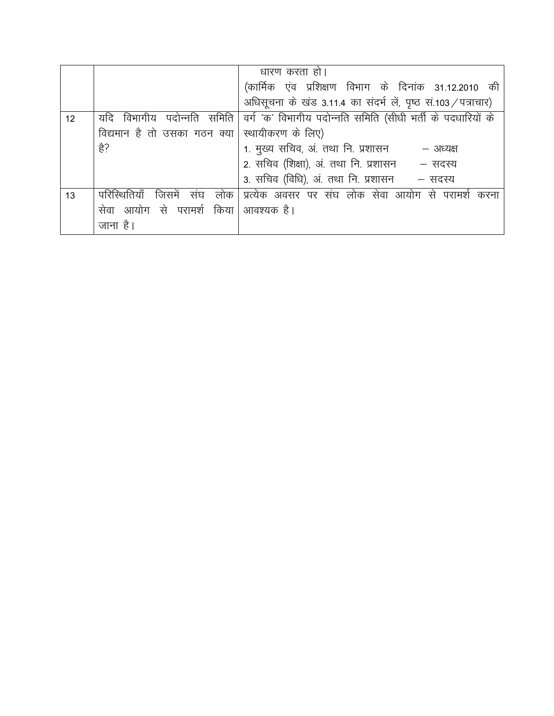|    |                                        | धारण करता हो।                                                  |
|----|----------------------------------------|----------------------------------------------------------------|
|    |                                        | (कार्मिक एंव प्रशिक्षण विभाग के दिनांक 31.12.2010 की           |
|    |                                        | अधिसूचना के खंड 3.11.4 का संदर्भ लें, पृष्ठ सं.103 / पत्राचार) |
| 12 | विभागीय पदोन्नति समिति<br>यदि          | वर्ग 'क' विभागीय पदोन्नति समिति (सीधी भर्ती के पदधारियों के    |
|    | विद्यमान है तो उसका गठन क्या           | स्थायीकरण के लिए)                                              |
|    | हे?                                    | 1. मुख्य सचिव, अं. तथा नि. प्रशासन<br>– अध्यक्ष                |
|    |                                        | 2. सचिव (शिक्षा), अं. तथा नि. प्रशासन - सदस्य                  |
|    |                                        | 3. सचिव (विधि), अं. तथा नि. प्रशासन - सदस्य                    |
| 13 | परिस्थितियाँ<br>जिसमें<br>संघ<br>लोक । | प्रत्येक अवसर पर संघ लोक सेवा आयोग से परामर्श<br>करना          |
|    | सेवा आयोग से परामर्श किया  आवश्यक है।  |                                                                |
|    | जाना है।                               |                                                                |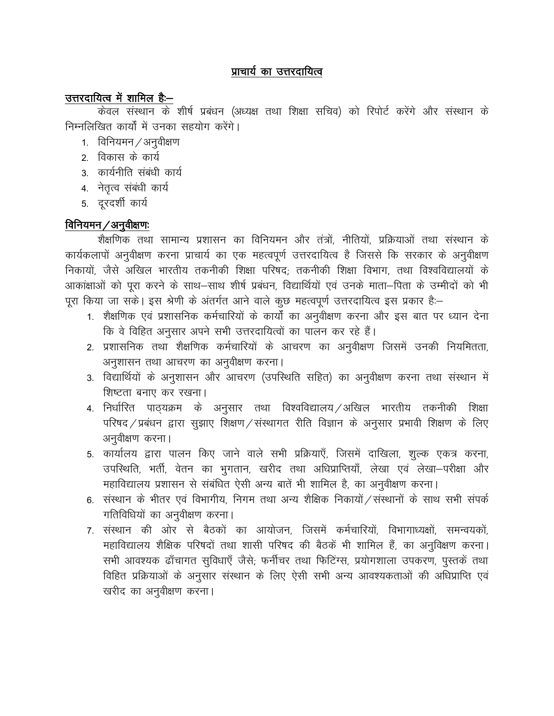## प्राचार्य का उत्तरदायित्व

## उत्तरदायित्व में शामिल है:-

केवल संस्थान के शीर्ष प्रबंधन (अध्यक्ष तथा शिक्षा सचिव) को रिपोर्ट करेंगे और संस्थान के निम्नलिखित कार्यों में उनका सहयोग करेंगे।

- 1. विनियमन / अनुवीक्षण
- 2. विकास के कार्य
- 3. कार्यनीति संबंधी कार्य
- 4. नेतृत्व संबंधी कार्य
- 5. दूरदर्शी कार्य

## विनियमन/अनुवीक्षणः

शैक्षणिक तथा सामान्य प्रशासन का विनियमन और तंत्रों, नीतियों, प्रक्रियाओं तथा संस्थान के कार्यकलापों अनुवीक्षण करना प्राचार्य का एक महत्वपूर्ण उत्तरदायित्व है जिससे कि सरकार के अनुवीक्षण निकायों, जैसे अखिल भारतीय तकनीकी शिक्षा परिषद; तकनीकी शिक्षा विभाग, तथा विश्वविद्यालयों के आकांक्षाओं को पुरा करने के साथ–साथ शीर्ष प्रबंधन, विद्यार्थियों एवं उनके माता–पिता के उम्मीदों को भी पूरा किया जा सके। इस श्रेणी के अंतर्गत आने वाले कुछ महत्वपूर्ण उत्तरदायित्व इस प्रकार है:-

- 1. शैक्षणिक एवं प्रशासनिक कर्मचारियों के कार्यों का अनुवीक्षण करना और इस बात पर ध्यान देना कि वे विहित अनुसार अपने सभी उत्तरदायित्वों का पालन कर रहे हैं।
- 2. प्रशासनिक तथा शैक्षणिक कर्मचारियों के आचरण का अनुवीक्षण जिसमें उनकी नियमितता, अनुशासन तथा आचरण का अनुवीक्षण करना।
- 3. विद्यार्थियों के अनुशासन और आचरण (उपस्थिति सहित) का अनुवीक्षण करना तथा संस्थान में शिष्टता बनाए कर रखना।
- 4. निर्धारित पाठयक्रम के अनुसार तथा विश्वविद्यालय ⁄अखिल भारतीय तकनीकी शिक्षा परिषद / प्रबंधन द्वारा सुझाए शिक्षण / संस्थागत रीति विज्ञान के अनुसार प्रभावी शिक्षण के लिए अनुवीक्षण करना।
- 5. कार्यालय द्वारा पालन किए जाने वाले सभी प्रक्रियाएँ, जिसमें दाखिला, शुल्क एकत्र करना, उपस्थिति, भर्ती, वेतन का भुगतान, खरीद तथा अधिप्राप्तियाँ, लेखा एवं लेखा-परीक्षा और महाविद्यालय प्रशासन से संबंधित ऐसी अन्य बातें भी शामिल है, का अनुवीक्षण करना।
- 6. संस्थान के भीतर एवं विभागीय, निगम तथा अन्य शैक्षिक निकायों / संस्थानों के साथ सभी संपर्क गतिविधियों का अनुवीक्षण करना।
- 7. संस्थान की ओर से बैठकों का आयोजन. जिसमें कर्मचारियों. विभागाध्यक्षों. समन्वयकों. महाविद्यालय शैक्षिक परिषदों तथा शासी परिषद की बैठकें भी शामिल हैं, का अनुविक्षण करना। सभी आवश्यक ढाँचागत सुविधाएँ जैसे; फर्नीचर तथा फिटिंग्स, प्रयोगशाला उपकरण, पुस्तकें तथा विहित प्रक्रियाओं के अनुसार संस्थान के लिए ऐसी सभी अन्य आवश्यकताओं की अधिप्राप्ति एवं खरीद का अनुवीक्षण करना।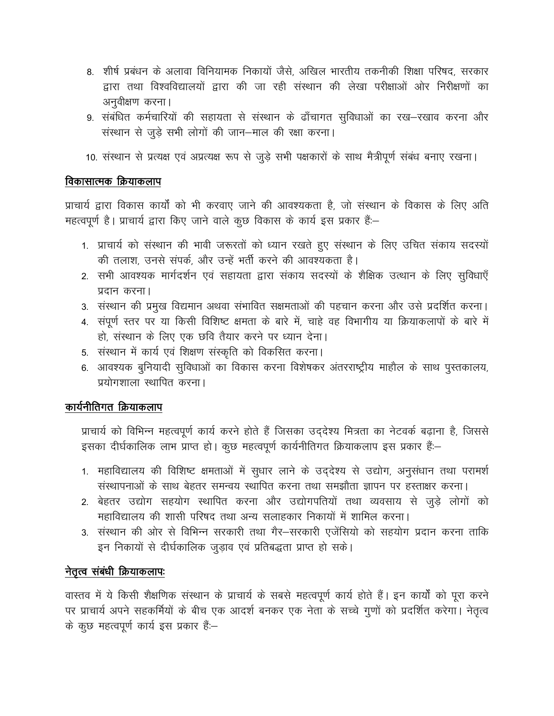- 8. शीर्ष प्रबंधन के अलावा विनियामक निकायों जैसे, अखिल भारतीय तकनीकी शिक्षा परिषद, सरकार द्वारा तथा विश्वविद्यालयों द्वारा की जा रही संस्थान की लेखा परीक्षाओं ओर निरीक्षणों का अनुवीक्षण करना।
- 9. संबंधित कर्मचारियों की सहायता से संस्थान के ढाँचागत सुविधाओं का रख-रखाव करना और संस्थान से जुड़े सभी लोगों की जान–माल की रक्षा करना।
- 10. संस्थान से प्रत्यक्ष एवं अप्रत्यक्ष रूप से जुड़े सभी पक्षकारों के साथ मैत्रीपूर्ण संबंध बनाए रखना।

#### विकासात्मक क्रियाकलाप

प्राचार्य द्वारा विकास कार्यों को भी करवाए जाने की आवश्यकता है, जो संस्थान के विकास के लिए अति महत्वपूर्ण है। प्राचार्य द्वारा किए जाने वाले कुछ विकास के कार्य इस प्रकार हैं:-

- 1. प्राचार्य को संस्थान की भावी जरूरतों को ध्यान रखते हुए संस्थान के लिए उचित संकाय सदस्यों की तलाश, उनसे संपर्क, और उन्हें भर्ती करने की आवश्यकता है।
- 2. सभी आवश्यक मार्गदर्शन एवं सहायता द्वारा संकाय सदस्यों के शैक्षिक उत्थान के लिए सुविधाएँ प्रदान करना।
- 3. संस्थान की प्रमुख विद्यमान अथवा संभावित सक्षमताओं की पहचान करना और उसे प्रदर्शित करना।
- 4. संपूर्ण स्तर पर या किसी विशिष्ट क्षमता के बारे में, चाहे वह विभागीय या क्रियाकलापों के बारे में हो, संस्थान के लिए एक छवि तैयार करने पर ध्यान देना।
- 5. संस्थान में कार्य एवं शिक्षण संस्कृति को विकसित करना।
- 6. आवश्यक बुनियादी सुविधाओं का विकास करना विशेषकर अंतरराष्ट्रीय माहौल के साथ पुस्तकालय, प्रयोगशाला स्थापित करना।

## कार्यनीतिगत क्रियाकलाप

प्राचार्य को विभिन्न महत्वपूर्ण कार्य करने होते हैं जिसका उद्देश्य मित्रता का नेटवर्क बढ़ाना है, जिससे इसका दीर्घकालिक लाभ प्राप्त हो। कुछ महत्वपूर्ण कार्यनीतिगत क्रियाकलाप इस प्रकार हैं:-

- 1. महाविद्यालय की विशिष्ट क्षमताओं में सुधार लाने के उद्देश्य से उद्योग, अनुसंधान तथा परामर्श संस्थापनाओं के साथ बेहतर समन्वय स्थापित करना तथा समझौता ज्ञापन पर हस्ताक्षर करना।
- 2. बेहतर उद्योग सहयोग स्थापित करना और उद्योगपतियों तथा व्यवसाय से जुड़े लोगों को महाविद्यालय की शासी परिषद तथा अन्य सलाहकार निकायों में शामिल करना।
- 3. संस्थान की ओर से विभिन्न सरकारी तथा गैर–सरकारी एजेंसियो को सहयोग प्रदान करना ताकि इन निकायों से दीर्घकालिक जुड़ाव एवं प्रतिबद्धता प्राप्त हो सके।

#### नेतृत्व संबंधी क्रियाकलापः

वास्तव में ये किसी शैक्षणिक संस्थान के प्राचार्य के सबसे महत्वपूर्ण कार्य होते हैं। इन कार्यों को पूरा करने पर प्राचार्य अपने सहकर्मियों के बीच एक आदर्श बनकर एक नेता के सच्चे गुणों को प्रदर्शित करेगा। नेतृत्व के कुछ महत्वपूर्ण कार्य इस प्रकार हैं:-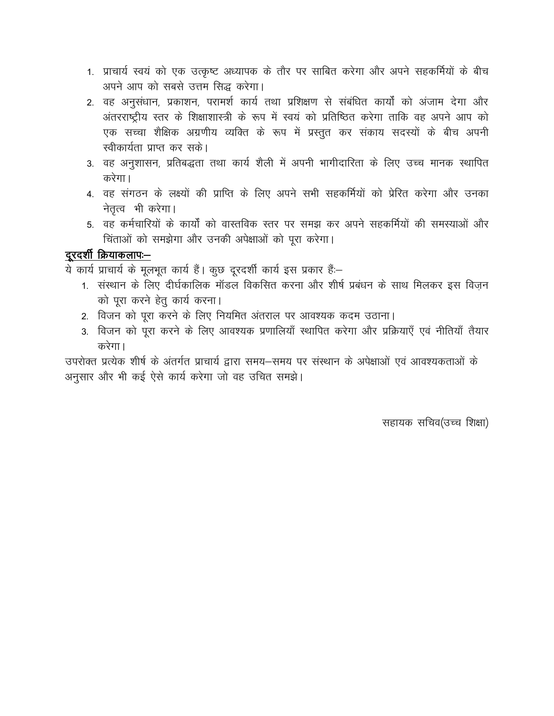- 1. प्राचार्य स्वयं को एक उत्कृष्ट अध्यापक के तौर पर साबित करेगा और अपने सहकर्मियों के बीच अपने आप को सबसे उत्तम सिद्ध करेगा।
- 2. वह अनुसंधान, प्रकाशन, परामर्श कार्य तथा प्रशिक्षण से संबंधित कार्यों को अंजाम देगा और अंतरराष्ट्रीय स्तर के शिक्षाशास्त्री के रूप में स्वयं को प्रतिष्ठित करेगा ताकि वह अपने आप को एक सच्चा शैक्षिक अग्रणीय व्यक्ति के रूप में प्रस्तुत कर संकाय सदस्यों के बीच अपनी स्वीकार्यता प्राप्त कर सके।
- 3. वह अनुशासन, प्रतिबद्धता तथा कार्य शैली में अपनी भागीदारिता के लिए उच्च मानक स्थापित करेगा।
- 4. वह संगठन के लक्ष्यों की प्राप्ति के लिए अपने सभी सहकर्मियों को प्रेरित करेगा और उनका नेतृत्व भी करेगा।
- 5. वह कर्मचारियों के कार्यों को वास्तविक स्तर पर समझ कर अपने सहकर्मियों की समस्याओं और चिंताओं को समझेगा और उनकी अपेक्षाओं को पूरा करेगा।

## दूरदर्शी क्रियाकलापः-

ये कार्य प्राचार्य के मूलभूत कार्य हैं। कुछ दूरदर्शी कार्य इस प्रकार हैं:-

- 1. संस्थान के लिए दीर्घकालिक मॉडल विकसित करना और शीर्ष प्रबंधन के साथ मिलकर इस विजन को पुरा करने हेतु कार्य करना।
- 2. विजन को पूरा करने के लिए नियमित अंतराल पर आवश्यक कदम उठाना।
- 3. विजन को पूरा करने के लिए आवश्यक प्रणालियाँ स्थापित करेगा और प्रक्रियाएँ एवं नीतियाँ तैयार करेगा।

उपरोक्त प्रत्येक शीर्ष के अंतर्गत प्राचार्य द्वारा समय–समय पर संस्थान के अपेक्षाओं एवं आवश्यकताओं के अनुसार और भी कई ऐसे कार्य करेगा जो वह उचित समझे।

सहायक सचिव(उच्च शिक्षा)